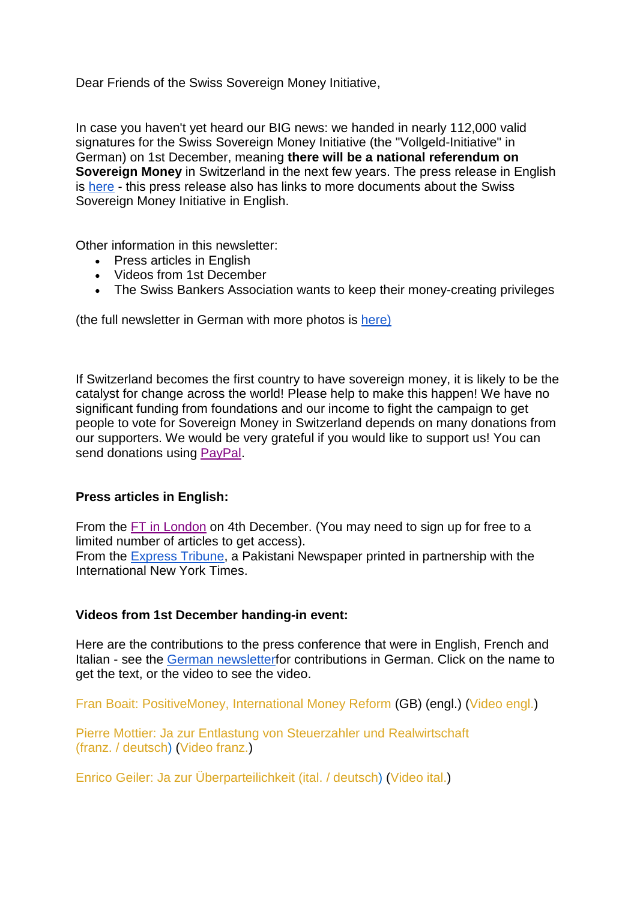Dear Friends of the Swiss Sovereign Money Initiative,

In case you haven't yet heard our BIG news: we handed in nearly 112,000 valid signatures for the Swiss Sovereign Money Initiative (the "Vollgeld-Initiative" in German) on 1st December, meaning **there will be a national referendum on Sovereign Money** in Switzerland in the next few years. The press release in English is [here](http://www.newsletter-webversion.de/?c=0-b7nw-fgzl7x-fm8) - this press release also has links to more documents about the Swiss Sovereign Money Initiative in English.

Other information in this newsletter:

- Press articles in English
- Videos from 1st December
- The Swiss Bankers Association wants to keep their money-creating privileges

(the full newsletter in German with more photos is [here\)](http://www.newsletter-webversion.de/?c=0-bp0j-qhyv8-3j0)

If Switzerland becomes the first country to have sovereign money, it is likely to be the catalyst for change across the world! Please help to make this happen! We have no significant funding from foundations and our income to fight the campaign to get people to vote for Sovereign Money in Switzerland depends on many donations from our supporters. We would be very grateful if you would like to support us! You can send donations using [PayPal.](http://www.vollgeld-initiative.ch/spenden-sie-mit-kreditkartepaypal/)

## **Press articles in English:**

From the **FT** in [London](https://www.google.ch/url?sa=t&rct=j&q=&esrc=s&source=web&cd=1&cad=rja&uact=8&ved=0ahUKEwjqtsm4g5DKAhWGkA8KHV-rDfcQFggfMAA&url=http%3A%2F%2Fwww.ft.com%2Fcms%2Fs%2F0%2Fa0942ee6-9a98-11e5-be4f-0abd1978acaa.html&usg=AFQjCNH4yUZNC4Hvh0CrHoJ750Ln8akfKA&sig2=WV4j0FOr7NtpMjLf5ozPTg&bvm=bv.110151844,d.ZWU) on 4th December. (You may need to sign up for free to a limited number of articles to get access).

From the [Express](http://tribune.com.pk/story/1004991/the-swiss-referendum-on-sovereign-money/) Tribune, a Pakistani Newspaper printed in partnership with the International New York Times.

## **Videos from 1st December handing-in event:**

Here are the contributions to the press conference that were in English, French and Italian - see the German [newsletterf](http://www.newsletter-webversion.de/?c=0-bp0j-qhyv8-3j0)or contributions in German. Click on the name to get the text, or the video to see the video.

Fran Boait: [PositiveMoney,](http://www.vollgeld-initiative.ch.n2g01.com/l/155030969/c/0-bp0j-qhyv8-3j0) International Money Reform (GB) (engl.) [\(Video](http://www.youtube.com.n2g01.com/l/155030970/c/0-bp0j-qhyv8-3j0) engl.)

Pierre Mottier: Ja zur Entlastung von Steuerzahler und [Realwirtschaft](http://www.vollgeld-initiative.ch.n2g01.com/l/155030959/c/0-bp0j-qhyv8-3j0) (franz. / [deutsch\)](http://www.vollgeld-initiative.ch.n2g01.com/l/155030959/c/0-bp0j-qhyv8-3j0) [\(Video](http://www.youtube.com.n2g01.com/l/155030960/c/0-bp0j-qhyv8-3j0) franz.)

Enrico Geiler: Ja zur [Überparteilichkeit](http://www.vollgeld-initiative.ch.n2g01.com/l/155030961/c/0-bp0j-qhyv8-3j0) (ital. / deutsch) [\(Video](http://www.youtube.com.n2g01.com/l/155030962/c/0-bp0j-qhyv8-3j0) ital.)